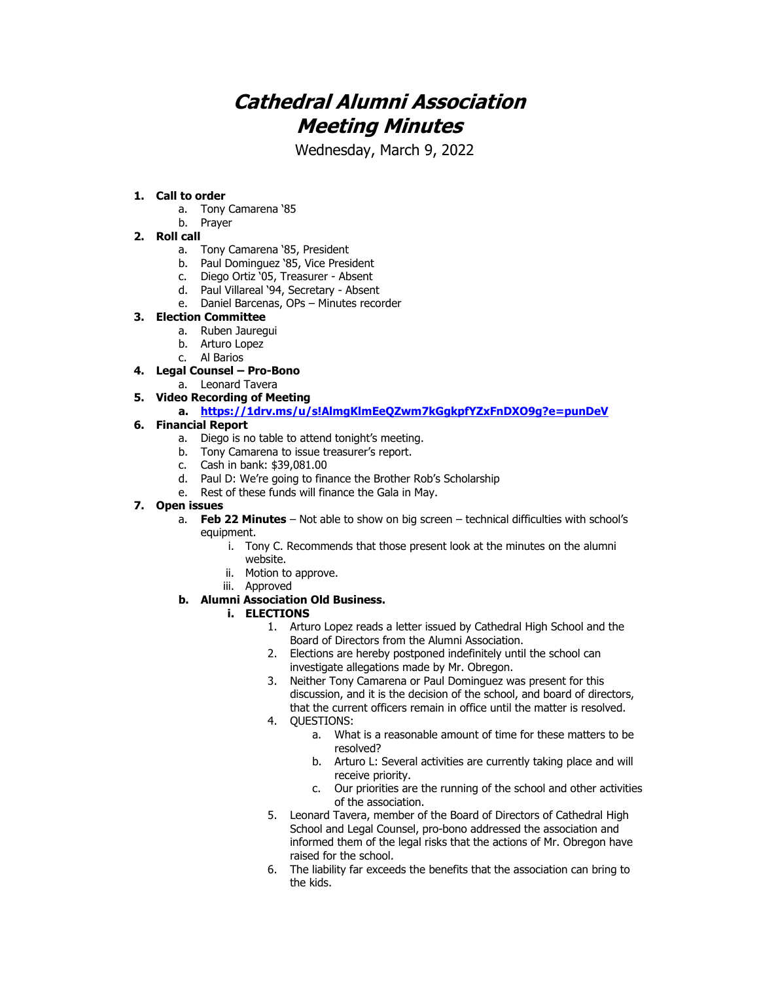# **Cathedral Alumni Association Meeting Minutes**

Wednesday, March 9, 2022

#### **1. Call to order**

- a. Tony Camarena '85
- b. Prayer

## **2. Roll call**

- a. Tony Camarena '85, President
- b. Paul Dominguez '85, Vice President
- c. Diego Ortiz '05, Treasurer Absent
- d. Paul Villareal '94, Secretary Absent
- e. Daniel Barcenas, OPs Minutes recorder

#### **3. Election Committee**

- a. Ruben Jauregui
- b. Arturo Lopez
- c. Al Barios

#### **4. Legal Counsel – Pro-Bono**

a. Leonard Tavera

#### **5. Video Recording of Meeting**

**a. <https://1drv.ms/u/s!AlmgKlmEeQZwm7kGgkpfYZxFnDXO9g?e=punDeV>**

#### **6. Financial Report**

- a. Diego is no table to attend tonight's meeting.
- b. Tony Camarena to issue treasurer's report.
- c. Cash in bank: \$39,081.00
- d. Paul D: We're going to finance the Brother Rob's Scholarship
- e. Rest of these funds will finance the Gala in May.

#### **7. Open issues**

- a. **Feb 22 Minutes** Not able to show on big screen technical difficulties with school's equipment.
	- i. Tony C. Recommends that those present look at the minutes on the alumni website.
	- ii. Motion to approve.
	- iii. Approved

### **b. Alumni Association Old Business.**

#### **i. ELECTIONS**

- 1. Arturo Lopez reads a letter issued by Cathedral High School and the Board of Directors from the Alumni Association.
- 2. Elections are hereby postponed indefinitely until the school can investigate allegations made by Mr. Obregon.
- 3. Neither Tony Camarena or Paul Dominguez was present for this discussion, and it is the decision of the school, and board of directors, that the current officers remain in office until the matter is resolved.
- 4. QUESTIONS:
	- a. What is a reasonable amount of time for these matters to be resolved?
	- b. Arturo L: Several activities are currently taking place and will receive priority.
	- c. Our priorities are the running of the school and other activities of the association.
- 5. Leonard Tavera, member of the Board of Directors of Cathedral High School and Legal Counsel, pro-bono addressed the association and informed them of the legal risks that the actions of Mr. Obregon have raised for the school.
- 6. The liability far exceeds the benefits that the association can bring to the kids.